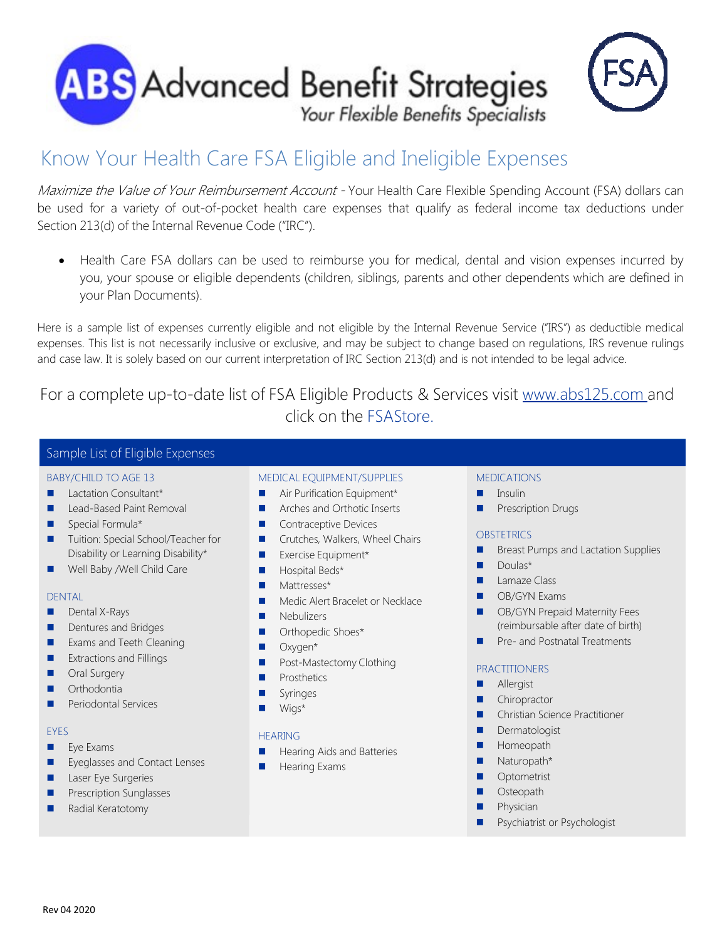



Maximize the Value of Your Reimbursement Account - Your Health Care Flexible Spending Account (FSA) dollars can be used for a variety of out-of-pocket health care expenses that qualify as federal income tax deductions under Section 213(d) of the Internal Revenue Code ("IRC").

 Health Care FSA dollars can be used to reimburse you for medical, dental and vision expenses incurred by you, your spouse or eligible dependents (children, siblings, parents and other dependents which are defined in your Plan Documents).

Here is a sample list of expenses currently eligible and not eligible by the Internal Revenue Service ("IRS") as deductible medical expenses. This list is not necessarily inclusive or exclusive, and may be subject to change based on regulations, IRS revenue rulings and case law. It is solely based on our current interpretation of IRC Section 213(d) and is not intended to be legal advice.

For a complete up-to-date list of FSA Eligible Products & Services visit www.abs125.com and click on the FSAStore.

# Sample List of Eligible Expenses

## BABY/CHILD TO AGE 13

- **Lactation Consultant\***
- **Lead-Based Paint Removal**
- Special Formula\*
- Tuition: Special School/Teacher for Disability or Learning Disability\*
- Well Baby / Well Child Care

#### DENTAL

- **Dental X-Rays**
- Dentures and Bridges
- Exams and Teeth Cleaning
- **EXtractions and Fillings**
- **Dral Surgery**
- **C** Orthodontia
- Periodontal Services

#### **EYES**

- $E$  Eye Exams
- **EXECUTE:** Eyeglasses and Contact Lenses
- **Laser Eye Surgeries**
- Prescription Sunglasses
- Radial Keratotomy

## MEDICAL EQUIPMENT/SUPPLIES

- Air Purification Equipment\*
- **Arches and Orthotic Inserts**
- Contraceptive Devices
- **Crutches, Walkers, Wheel Chairs**
- **EXercise Equipment\***
- **Hospital Beds\***
- Mattresses\*
- Medic Alert Bracelet or Necklace
- **Nebulizers**
- **D** Orthopedic Shoes\*
- **D** Oxygen\*
- **Post-Mastectomy Clothing**
- Prosthetics
- Syringes
- Wigs\*

#### HEARING

- Hearing Aids and Batteries
- Hearing Exams

## MEDICATIONS

- **Insulin**
- **Prescription Drugs**

#### **OBSTETRICS**

- **Breast Pumps and Lactation Supplies**
- **Doulas\***
- **Lamaze Class**
- **DE** OB/GYN Exams
- OB/GYN Prepaid Maternity Fees (reimbursable after date of birth)
- **Pre- and Postnatal Treatments**

## PRACTITIONERS

- **Allergist**
- Chiropractor
- Christian Science Practitioner
- Dermatologist
- Homeopath
- **Naturopath\***
- **Optometrist**
- **Osteopath**
- **Physician**
- **Psychiatrist or Psychologist**